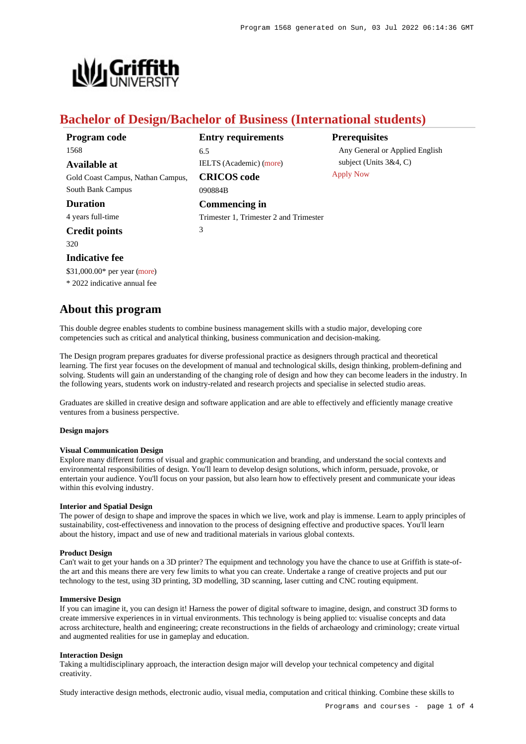

# **Bachelor of Design/Bachelor of Business (International students)**

| Program code                      | <b>Entry requirements</b>              | <b>Prerequisites</b>           |
|-----------------------------------|----------------------------------------|--------------------------------|
| 1568                              | 6.5                                    | Any General or Applied English |
| Available at                      | <b>IELTS</b> (Academic) (more)         | subject (Units $3&4, C$ )      |
| Gold Coast Campus, Nathan Campus, | <b>CRICOS</b> code                     | <b>Apply Now</b>               |
| South Bank Campus                 | 090884B                                |                                |
| <b>Duration</b>                   | Commencing in                          |                                |
| 4 years full-time                 | Trimester 1, Trimester 2 and Trimester |                                |
| <b>Credit points</b>              | 3                                      |                                |
| 320 <sup>-</sup>                  |                                        |                                |

**Indicative fee**

\$31,000.00\* per year [\(more](https://www148.griffith.edu.au/programs-courses/Program/1568/Overview/International#fees))

\* 2022 indicative annual fee

# **About this program**

This double degree enables students to combine business management skills with a studio major, developing core competencies such as critical and analytical thinking, business communication and decision-making.

The Design program prepares graduates for diverse professional practice as designers through practical and theoretical learning. The first year focuses on the development of manual and technological skills, design thinking, problem-defining and solving. Students will gain an understanding of the changing role of design and how they can become leaders in the industry. In the following years, students work on industry-related and research projects and specialise in selected studio areas.

Graduates are skilled in creative design and software application and are able to effectively and efficiently manage creative ventures from a business perspective.

## **Design majors**

#### **Visual Communication Design**

Explore many different forms of visual and graphic communication and branding, and understand the social contexts and environmental responsibilities of design. You'll learn to develop design solutions, which inform, persuade, provoke, or entertain your audience. You'll focus on your passion, but also learn how to effectively present and communicate your ideas within this evolving industry.

### **Interior and Spatial Design**

The power of design to shape and improve the spaces in which we live, work and play is immense. Learn to apply principles of sustainability, cost-effectiveness and innovation to the process of designing effective and productive spaces. You'll learn about the history, impact and use of new and traditional materials in various global contexts.

#### **Product Design**

Can't wait to get your hands on a 3D printer? The equipment and technology you have the chance to use at Griffith is state-ofthe art and this means there are very few limits to what you can create. Undertake a range of creative projects and put our technology to the test, using 3D printing, 3D modelling, 3D scanning, laser cutting and CNC routing equipment.

#### **Immersive Design**

If you can imagine it, you can design it! Harness the power of digital software to imagine, design, and construct 3D forms to create immersive experiences in in virtual environments. This technology is being applied to: visualise concepts and data across architecture, health and engineering; create reconstructions in the fields of archaeology and criminology; create virtual and augmented realities for use in gameplay and education.

#### **Interaction Design**

Taking a multidisciplinary approach, the interaction design major will develop your technical competency and digital creativity.

Study interactive design methods, electronic audio, visual media, computation and critical thinking. Combine these skills to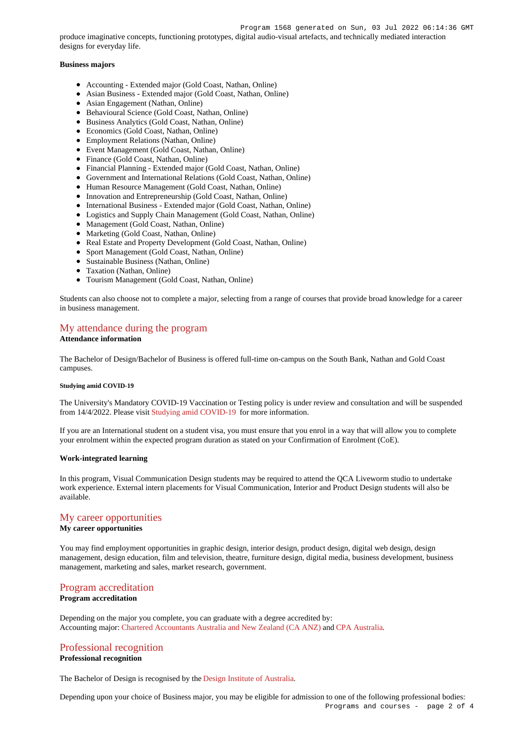produce imaginative concepts, functioning prototypes, digital audio-visual artefacts, and technically mediated interaction designs for everyday life.

## **Business majors**

- Accounting Extended major (Gold Coast, Nathan, Online)
- Asian Business Extended major (Gold Coast, Nathan, Online)
- Asian Engagement (Nathan, Online)
- Behavioural Science (Gold Coast, Nathan, Online)
- Business Analytics (Gold Coast, Nathan, Online)
- Economics (Gold Coast, Nathan, Online)
- Employment Relations (Nathan, Online)
- Event Management (Gold Coast, Nathan, Online)
- Finance (Gold Coast, Nathan, Online)
- Financial Planning Extended major (Gold Coast, Nathan, Online)
- Government and International Relations (Gold Coast, Nathan, Online)
- Human Resource Management (Gold Coast, Nathan, Online)
- Innovation and Entrepreneurship (Gold Coast, Nathan, Online)
- International Business Extended major (Gold Coast, Nathan, Online)
- Logistics and Supply Chain Management (Gold Coast, Nathan, Online)
- Management (Gold Coast, Nathan, Online)
- Marketing (Gold Coast, Nathan, Online)
- Real Estate and Property Development (Gold Coast, Nathan, Online)
- Sport Management (Gold Coast, Nathan, Online)
- Sustainable Business (Nathan, Online)
- Taxation (Nathan, Online)
- Tourism Management (Gold Coast, Nathan, Online)

Students can also choose not to complete a major, selecting from a range of courses that provide broad knowledge for a career in business management.

# [My attendance during the program](https://www148.griffith.edu.au/programs-courses/Program/1568/Overview/International#attendance)

#### **Attendance information**

The Bachelor of Design/Bachelor of Business is offered full-time on-campus on the South Bank, Nathan and Gold Coast campuses.

#### **Studying amid COVID-19**

The University's Mandatory COVID-19 Vaccination or Testing policy is under review and consultation and will be suspended from 14/4/2022. Please visit [Studying amid COVID-19](https://www.griffith.edu.au/coronavirus/studying-amid-covid-19) for more information.

If you are an International student on a student visa, you must ensure that you enrol in a way that will allow you to complete your enrolment within the expected program duration as stated on your Confirmation of Enrolment (CoE).

#### **Work-integrated learning**

In this program, Visual Communication Design students may be required to attend the QCA Liveworm studio to undertake work experience. External intern placements for Visual Communication, Interior and Product Design students will also be available.

### [My career opportunities](https://www148.griffith.edu.au/programs-courses/Program/1568/Overview/International#opportunities)

### **My career opportunities**

You may find employment opportunities in graphic design, interior design, product design, digital web design, design management, design education, film and television, theatre, furniture design, digital media, business development, business management, marketing and sales, market research, government.

## [Program accreditation](https://www148.griffith.edu.au/programs-courses/Program/1568/Overview/International#accreditation)

# **Program accreditation**

Depending on the major you complete, you can graduate with a degree accredited by: Accounting major: [Chartered Accountants Australia and New Zealand \(CA ANZ\)](https://www.charteredaccountantsanz.com/) and [CPA Australia](https://www.cpaaustralia.com.au/).

### [Professional recognition](https://www148.griffith.edu.au/programs-courses/Program/1568/Overview/International#recognition)

## **Professional recognition**

The Bachelor of Design is recognised by the [Design Institute of Australia](http://www.dia.org.au/).

Depending upon your choice of Business major, you may be eligible for admission to one of the following professional bodies: Programs and courses - page 2 of 4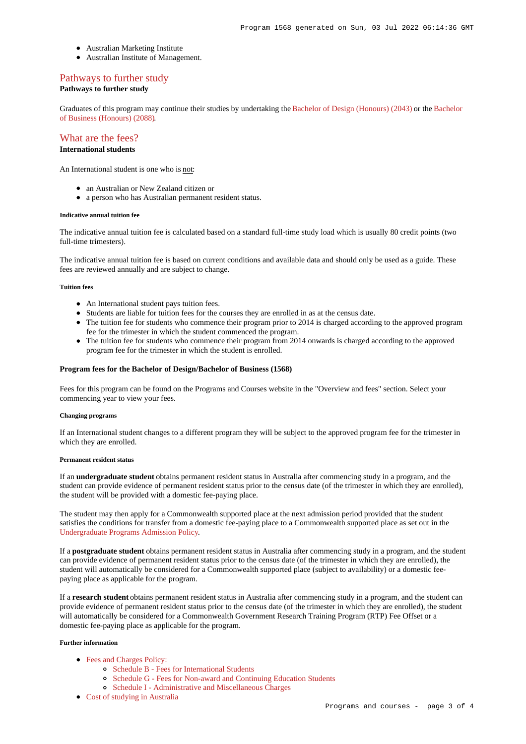- Australian Marketing Institute
- Australian Institute of Management.

# [Pathways to further study](https://www148.griffith.edu.au/programs-courses/Program/1568/Overview/International#pathways)

## **Pathways to further study**

Graduates of this program may continue their studies by undertaking the [Bachelor of Design \(Honours\) \(2043\)](https://www148.griffith.edu.au/Search/Results?SearchText=2043) or the [Bachelor](https://www148.griffith.edu.au/Search/Results?SearchText=2088) [of Business \(Honours\) \(2088\)](https://www148.griffith.edu.au/Search/Results?SearchText=2088).

# [What are the fees?](https://www148.griffith.edu.au/programs-courses/Program/1568/Overview/International#fees)

# **International students**

An International student is one who is not:

- an Australian or New Zealand citizen or
- a person who has Australian permanent resident status.

#### **Indicative annual tuition fee**

The indicative annual tuition fee is calculated based on a standard full-time study load which is usually 80 credit points (two full-time trimesters).

The indicative annual tuition fee is based on current conditions and available data and should only be used as a guide. These fees are reviewed annually and are subject to change.

#### **Tuition fees**

- An International student pays tuition fees.
- Students are liable for tuition fees for the courses they are enrolled in as at the census date.
- The tuition fee for students who commence their program prior to 2014 is charged according to the approved program fee for the trimester in which the student commenced the program.
- The tuition fee for students who commence their program from 2014 onwards is charged according to the approved program fee for the trimester in which the student is enrolled.

#### **Program fees for the Bachelor of Design/Bachelor of Business (1568)**

Fees for this program can be found on the Programs and Courses website in the "Overview and fees" section. Select your commencing year to view your fees.

#### **Changing programs**

If an International student changes to a different program they will be subject to the approved program fee for the trimester in which they are enrolled.

## **Permanent resident status**

If an **undergraduate student** obtains permanent resident status in Australia after commencing study in a program, and the student can provide evidence of permanent resident status prior to the census date (of the trimester in which they are enrolled), the student will be provided with a domestic fee-paying place.

The student may then apply for a Commonwealth supported place at the next admission period provided that the student satisfies the conditions for transfer from a domestic fee-paying place to a Commonwealth supported place as set out in the [Undergraduate Programs Admission Policy](http://policies.griffith.edu.au/pdf/Undergraduate Programs Admission Policy.pdf).

If a **postgraduate student** obtains permanent resident status in Australia after commencing study in a program, and the student can provide evidence of permanent resident status prior to the census date (of the trimester in which they are enrolled), the student will automatically be considered for a Commonwealth supported place (subject to availability) or a domestic feepaying place as applicable for the program.

If a **research student** obtains permanent resident status in Australia after commencing study in a program, and the student can provide evidence of permanent resident status prior to the census date (of the trimester in which they are enrolled), the student will automatically be considered for a Commonwealth Government Research Training Program (RTP) Fee Offset or a domestic fee-paying place as applicable for the program.

### **Further information**

- [Fees and Charges Policy:](https://policies.griffith.edu.au/pdf/Fees and Charges Policy.pdf)
	- [Schedule B Fees for International Students](https://policies.griffith.edu.au/pdf/Fees and Charges Policy Schedule B.pdf)
	- [Schedule G Fees for Non-award and Continuing Education Students](https://policies.griffith.edu.au/pdf/Fees and Charges Policy Schedule G.pdf)
	- [Schedule I Administrative and Miscellaneous Charges](https://policies.griffith.edu.au/pdf/Fees and Charges Policy Schedule I.pdf)
- [Cost of studying in Australia](https://www.griffith.edu.au/life-at-griffith/australia/cost-of-studying)